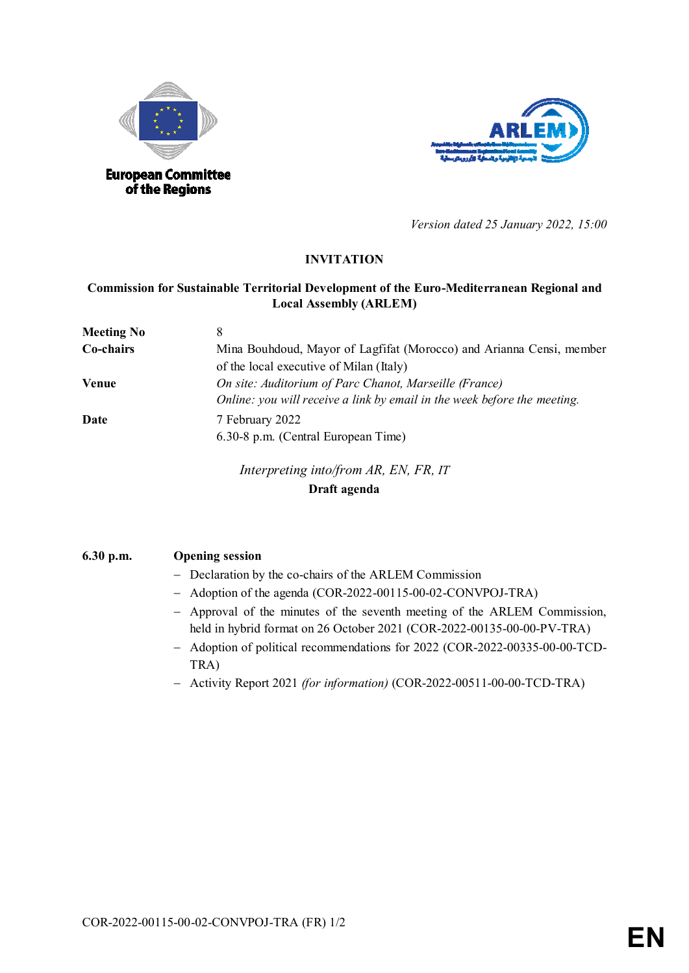



*Version dated 25 January 2022, 15:00*

## **INVITATION**

## **Commission for Sustainable Territorial Development of the Euro-Mediterranean Regional and Local Assembly (ARLEM)**

| <b>Meeting No</b> |                                                                          |
|-------------------|--------------------------------------------------------------------------|
| Co-chairs         | Mina Bouhdoud, Mayor of Lagfifat (Morocco) and Arianna Censi, member     |
|                   | of the local executive of Milan (Italy)                                  |
| <b>Venue</b>      | On site: Auditorium of Parc Chanot, Marseille (France)                   |
|                   | Online: you will receive a link by email in the week before the meeting. |
| Date              | 7 February 2022                                                          |
|                   | 6.30-8 p.m. (Central European Time)                                      |

*Interpreting into/from AR, EN, FR, IT* **Draft agenda**

## **6.30 p.m. Opening session**

- Declaration by the co-chairs of the ARLEM Commission
- Adoption of the agenda (COR-2022-00115-00-02-CONVPOJ-TRA)
- Approval of the minutes of the seventh meeting of the ARLEM Commission, held in hybrid format on 26 October 2021 (COR-2022-00135-00-00-PV-TRA)
- Adoption of political recommendations for 2022 (COR-2022-00335-00-00-TCD-TRA)
- Activity Report 2021 *(for information)* (COR-2022-00511-00-00-TCD-TRA)